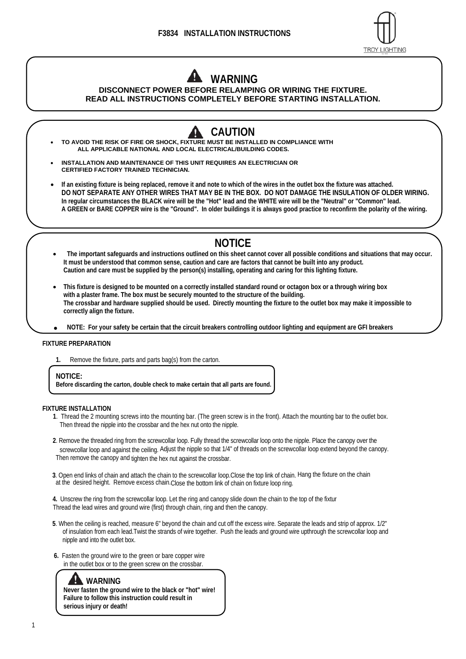

# **WARNING**

#### **DISCONNECT POWER BEFORE RELAMPING OR WIRING THE FIXTURE. READ ALL INSTRUCTIONS COMPLETELY BEFORE STARTING INSTALLATION.**

- **CAUTION** A **TO AVOID THE RISK OF FIRE OR SHOCK, FIXTURE MUST BE INSTALLED IN COMPLIANCE WITH ALL APPLICABLE NATIONAL AND LOCAL ELECTRICAL/BUILDING CODES.**
- **INSTALLATION AND MAINTENANCE OF THIS UNIT REQUIRES AN ELECTRICIAN OR CERTIFIED FACTORY TRAINED TECHNICIAN.**
- **If an existing fixture is being replaced, remove it and note to which of the wires in the outlet box the fixture was attached. DO NOT SEPARATE ANY OTHER WIRES THAT MAY BE IN THE BOX. DO NOT DAMAGE THE INSULATION OF OLDER WIRING. In regular circumstances the BLACK wire will be the "Hot" lead and the WHITE wire will be the "Neutral" or "Common" lead. A GREEN or BARE COPPER wire is the "Ground". In older buildings it is always good practice to reconfirm the polarity of the wiring.**

## **NOTICE**

- **The important safeguards and instructions outlined on this sheet cannot cover all possible conditions and situations that may occur. It must be understood that common sense, caution and care are factors that cannot be built into any product. Caution and care must be supplied by the person(s) installing, operating and caring for this lighting fixture.**
- **This fixture is designed to be mounted on a correctly installed standard round or octagon box or a through wiring box with a plaster frame. The box must be securely mounted to the structure of the building. The crossbar and hardware supplied should be used. Directly mounting the fixture to the outlet box may make it impossible to correctly align the fixture.**
- ● **NOTE: For your safety be certain that the circuit breakers controlling outdoor lighting and equipment are GFI breakers**

#### **FIXTURE PREPARATION**

**1.** Remove the fixture, parts and parts bag(s) from the carton.

#### **NOTICE:**

**Before discarding the carton, double check to make certain that all parts are found.** 

#### **FIXTURE INSTALLATION**

- **1**. Thread the 2 mounting screws into the mounting bar. (The green screw is in the front). Attach the mounting bar to the outlet box. Then thread the nipple into the crossbar and the hex nut onto the nipple.
- **2**. Remove the threaded ring from the screwcollar loop. Fully thread the screwcollar loop onto the nipple. Place the canopy over the screwcollar loop and against the ceiling. Adjust the nipple so that 1/4" of threads on the screwcollar loop extend beyond the canopy. Then remove the canopy and tighten the hex nut against the crossbar.
- **3**. Open end links of chain and attach the chain to the screwcollar loop.Close the top link of chain. Hang the fixture on the chain at the desired height. Remove excess chain.Close the bottom link of chain on fixture loop ring.
- **4.** Unscrew the ring from the screwcollar loop. Let the ring and canopy slide down the chain to the top of the fixtur Thread the lead wires and ground wire (first) through chain, ring and then the canopy.
- **5**. When the ceiling is reached, measure 6" beyond the chain and cut off the excess wire. Separate the leads and strip of approx. 1/2" of insulation from each lead.Twist the strands of wire together. Push the leads and ground wire upthrough the screwcollar loop and nipple and into the outlet box.
- **6.** Fasten the ground wire to the green or bare copper wire in the outlet box or to the green screw on the crossbar.

### **WARNING**

**Never fasten the ground wire to the black or "hot" wire! Failure to follow this instruction could result in serious injury or death!**